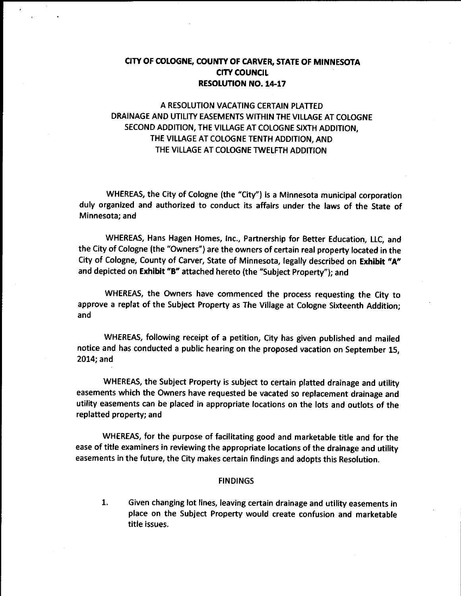## CITY OF COLOGNE, COUNTY OF CARVER, STATE OF MINNESOTA CITY COUNCIL RESOLUTION NO. 14-17

# A RESOLUTION VACATING CERTAIN PLATTED DRAINAGE AND UTILITY EASEMENTS WITHIN THE VILLAGE AT COLOGNE SECOND ADDITION, THE VILLAGE AT COLOGNE SIXTH ADDITION, THE VILLAGE AT COLOGNE TENTH ADDITION, AND THE VILLAGE AT COLOGNE TWELFTH ADDITION

WHEREAS, the City of Cologne (the "City") is a Minnesota municipal corporation duly organized and authorized to conduct its affairs under the laws of the State of Minnesota; and

WHEREAS, Hans Hagen Homes, Inc., Partnership for Better Education, LLC, and the City of Cologne (the " Owners") are the owners of certain real property located in the City of Cologne, County of Carver, State of Minnesota, legally described on Exhibit "A" and depicted on Exhibit "B" attached hereto (the "Subject Property"); and

WHEREAS, the Owners have commenced the process requesting the City to approve <sup>a</sup> replat of the Subject Property as The Village at Cologne Sixteenth Addition; and

WHEREAS, following receipt of <sup>a</sup> petition, City has given published and mailed notice and has conducted a public hearing on the proposed vacation on September 15, 2014; and

WHEREAS, the Subject Property is subject to certain platted drainage and utility easements which the Owners have requested be vacated so replacement drainage and utility easements can be placed in appropriate locations on the lots and outlots of the replatted property; and

WHEREAS, for the purpose of facilitating good and marketable title and for the ease of title examiners in reviewing the appropriate locations of the drainage and utility easements in the future, the City makes certain findings and adopts this Resolution.

#### FINDINGS

1. Given changing lot lines, leaving certain drainage and utility easements in place on the Subject Property would create confusion and marketable title issues.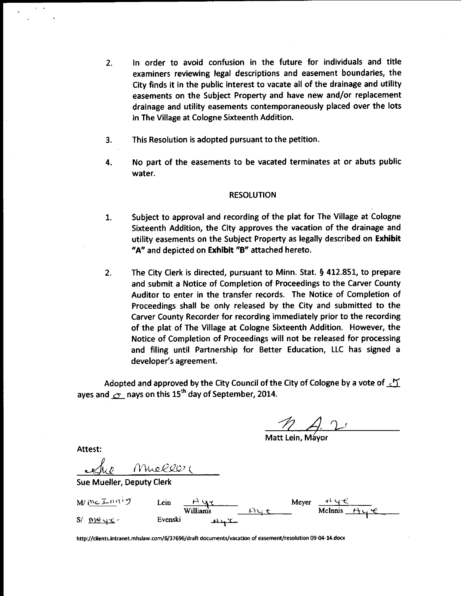- 2. In order to avoid confusion in the future for individuals and title examiners reviewing legal descriptions and easement boundaries, the City finds it in the public interest to vacate all of the drainage and utility easements on the Subject Property and have new and/or replacement drainage and utility easements contemporaneously placed over the lots in The Village at Cologne Sixteenth Addition.
- 3. This Resolution is adopted pursuant to the petition.
- 4. No part of the easements to be vacated terminates at or abuts public water.

#### RESOLUTION

- 1. Subject to approval and recording of the plat for The Village at Cologne Sixteenth Addition, the City approves the vacation of the drainage and utility easements on the Subject Property as legally described on Exhibit "A" and depicted on Exhibit "B" attached hereto.
- 2. The City Clerk is directed, pursuant to Minn. Stat. § 412.851, to prepare and submit <sup>a</sup> Notice of Completion of Proceedings to the Carver County Auditor to enter in the transfer records. The Notice of Completion of Proceedings shall be only released by the City and submitted to the Carver County Recorder for recording immediately prior to the recording of the plat of The Village at Cologne Sixteenth Addition. However, the Notice of Completion of Proceedings will not be released for processing and filing until Partnership for Better Education, LLC has signed a developer's agreement.

Adopted and approved by the City Council of the City of Cologne by a vote of  $\sqrt{2}$ ayes and  $\sigma$  nays on this 15<sup>th</sup> day of September, 2014.

 $\overline{\mathcal{L}}$ 

Matt Lein, Mayor

Attest:

Are Mieller

Sue Mueller, Deputy Clerk

 $M/\sqrt[m]{\mathbb{E} \ln n^{1/7}}$  Lein  $H\sqrt[q]{t}$  Meyer  $H\sqrt[q]{t}$  $\frac{\beta}{\text{Williams}}$  $M_{11}$  $\leftarrow$  McInnis  $S/N \leq \frac{N}{2}$  Evenski

http://clients.intranet.mhslaw.com/6/37696/draft documents/vacation of easement/resolution 09-04-14.docx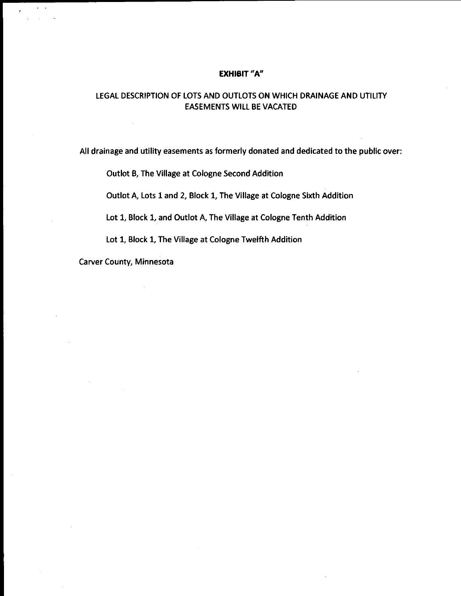#### EXHIBIT "A"

## LEGAL DESCRIPTION OF LOTS AND OUTLOTS ON WHICH DRAINAGE AND UTILITY EASEMENTS WILL BE VACATED

All drainage and utility easements as formerly donated and dedicated to the public over:

Outlot B, The Village at Cologne Second Addition

Outlot A, Lots <sup>1</sup> and 2, Block 1, The Village at Cologne Sixth Addition

Lot 1, Block 1, and Outlot A, The Village at Cologne Tenth Addition

Lot 1, Block 1, The Village at Cologne Twelfth Addition

Carver County, Minnesota